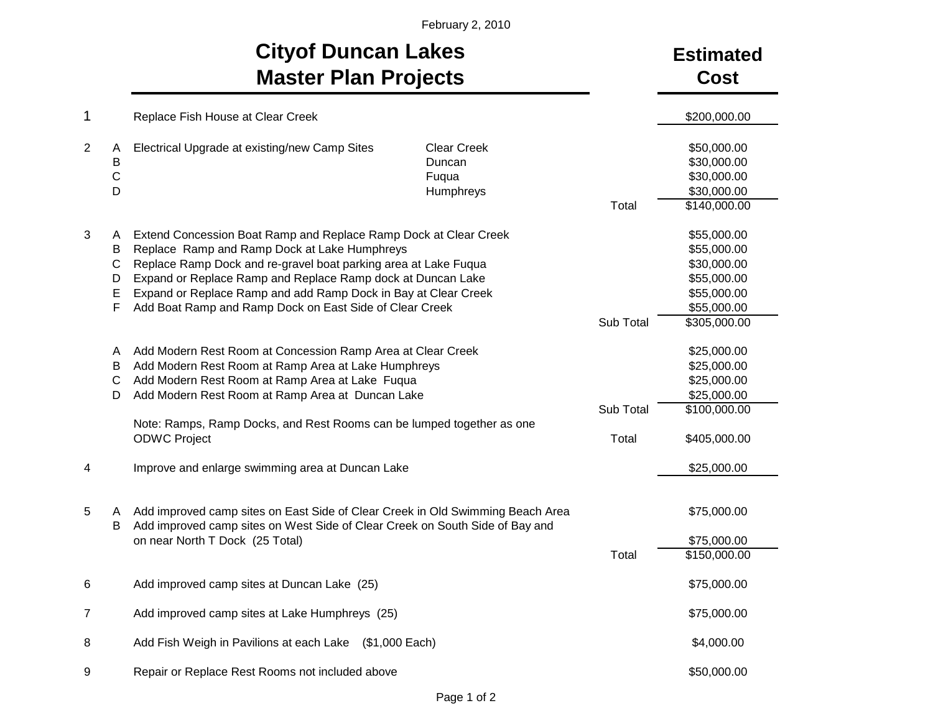February 2, 2010

## **Cityof Duncan Lakes Master Plan Projects**

## **Estimated Cost**

| 1              |                             | Replace Fish House at Clear Creek                                                                                                                                                                                                                                                                                                                                               |                                                    |           | \$200,000.00                                                                                           |
|----------------|-----------------------------|---------------------------------------------------------------------------------------------------------------------------------------------------------------------------------------------------------------------------------------------------------------------------------------------------------------------------------------------------------------------------------|----------------------------------------------------|-----------|--------------------------------------------------------------------------------------------------------|
| 2              | A<br>B<br>$\mathsf C$<br>D  | Electrical Upgrade at existing/new Camp Sites                                                                                                                                                                                                                                                                                                                                   | <b>Clear Creek</b><br>Duncan<br>Fuqua<br>Humphreys | Total     | \$50,000.00<br>\$30,000.00<br>\$30,000.00<br>\$30,000.00<br>\$140,000.00                               |
| 3              | A<br>B<br>C<br>D<br>Е<br>F  | Extend Concession Boat Ramp and Replace Ramp Dock at Clear Creek<br>Replace Ramp and Ramp Dock at Lake Humphreys<br>Replace Ramp Dock and re-gravel boat parking area at Lake Fuqua<br>Expand or Replace Ramp and Replace Ramp dock at Duncan Lake<br>Expand or Replace Ramp and add Ramp Dock in Bay at Clear Creek<br>Add Boat Ramp and Ramp Dock on East Side of Clear Creek |                                                    | Sub Total | \$55,000.00<br>\$55,000.00<br>\$30,000.00<br>\$55,000.00<br>\$55,000.00<br>\$55,000.00<br>\$305,000.00 |
|                | A<br>B<br>$\mathsf{C}$<br>D | Add Modern Rest Room at Concession Ramp Area at Clear Creek<br>Add Modern Rest Room at Ramp Area at Lake Humphreys<br>Add Modern Rest Room at Ramp Area at Lake Fuqua<br>Add Modern Rest Room at Ramp Area at Duncan Lake                                                                                                                                                       |                                                    | Sub Total | \$25,000.00<br>\$25,000.00<br>\$25,000.00<br>\$25,000.00<br>\$100,000.00                               |
|                |                             | Note: Ramps, Ramp Docks, and Rest Rooms can be lumped together as one<br><b>ODWC Project</b>                                                                                                                                                                                                                                                                                    |                                                    | Total     | \$405,000.00                                                                                           |
| 4              |                             | Improve and enlarge swimming area at Duncan Lake                                                                                                                                                                                                                                                                                                                                |                                                    |           | \$25,000.00                                                                                            |
| 5              | A<br>B                      | Add improved camp sites on East Side of Clear Creek in Old Swimming Beach Area<br>Add improved camp sites on West Side of Clear Creek on South Side of Bay and<br>on near North T Dock (25 Total)                                                                                                                                                                               |                                                    |           | \$75,000.00<br>\$75,000.00                                                                             |
|                |                             |                                                                                                                                                                                                                                                                                                                                                                                 |                                                    | Total     | \$150,000.00                                                                                           |
| 6              |                             | Add improved camp sites at Duncan Lake (25)                                                                                                                                                                                                                                                                                                                                     |                                                    |           | \$75,000.00                                                                                            |
| $\overline{7}$ |                             | Add improved camp sites at Lake Humphreys (25)                                                                                                                                                                                                                                                                                                                                  |                                                    |           | \$75,000.00                                                                                            |
| 8              |                             | Add Fish Weigh in Pavilions at each Lake (\$1,000 Each)                                                                                                                                                                                                                                                                                                                         |                                                    |           | \$4,000.00                                                                                             |
| 9              |                             | Repair or Replace Rest Rooms not included above                                                                                                                                                                                                                                                                                                                                 |                                                    |           | \$50,000.00                                                                                            |